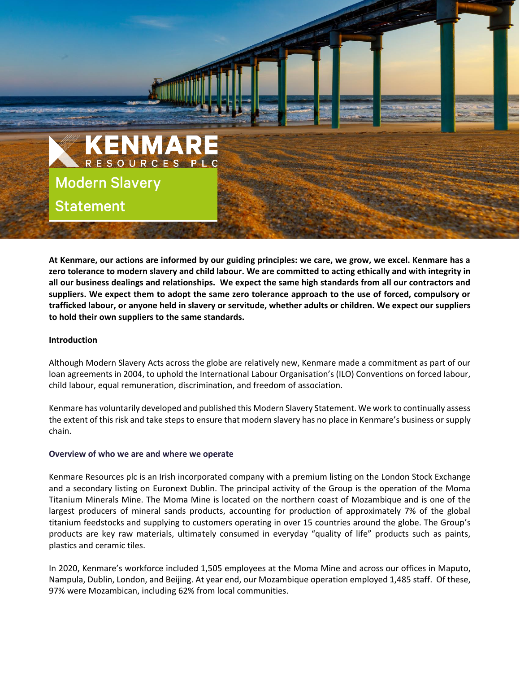

**At Kenmare, our actions are informed by our guiding principles: we care, we grow, we excel. Kenmare has a zero tolerance to modern slavery and child labour. We are committed to acting ethically and with integrity in all our business dealings and relationships. We expect the same high standards from all our contractors and suppliers. We expect them to adopt the same zero tolerance approach to the use of forced, compulsory or trafficked labour, or anyone held in slavery or servitude, whether adults or children. We expect our suppliers to hold their own suppliers to the same standards.**

## **Introduction**

Although Modern Slavery Acts across the globe are relatively new, Kenmare made a commitment as part of our loan agreements in 2004, to uphold the International Labour Organisation's (ILO) Conventions on forced labour, child labour, equal remuneration, discrimination, and freedom of association.

Kenmare has voluntarily developed and published this Modern Slavery Statement. We work to continually assess the extent of this risk and take steps to ensure that modern slavery has no place in Kenmare's business or supply chain.

#### **Overview of who we are and where we operate**

Kenmare Resources plc is an Irish incorporated company with a premium listing on the London Stock Exchange and a secondary listing on Euronext Dublin. The principal activity of the Group is the operation of the Moma Titanium Minerals Mine. The Moma Mine is located on the northern coast of Mozambique and is one of the largest producers of mineral sands products, accounting for production of approximately 7% of the global titanium feedstocks and supplying to customers operating in over 15 countries around the globe. The Group's products are key raw materials, ultimately consumed in everyday "quality of life" products such as paints, plastics and ceramic tiles.

In 2020, Kenmare's workforce included 1,505 employees at the Moma Mine and across our offices in Maputo, Nampula, Dublin, London, and Beijing. At year end, our Mozambique operation employed 1,485 staff. Of these, 97% were Mozambican, including 62% from local communities.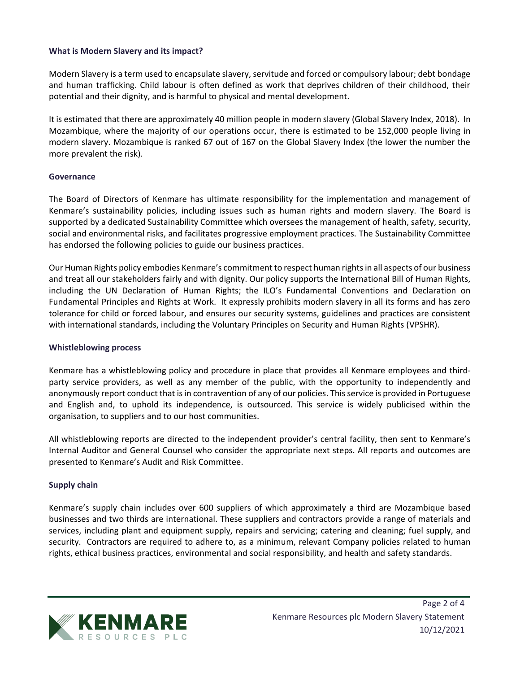# **What is Modern Slavery and its impact?**

Modern Slavery is a term used to encapsulate slavery, servitude and forced or compulsory labour; debt bondage and human trafficking. Child labour is often defined as work that deprives children of their childhood, their potential and their dignity, and is harmful to physical and mental development.

It is estimated that there are approximately 40 million people in modern slavery (Global Slavery Index, 2018). In Mozambique, where the majority of our operations occur, there is estimated to be 152,000 people living in modern slavery. Mozambique is ranked 67 out of 167 on the Global Slavery Index (the lower the number the more prevalent the risk).

### **Governance**

The Board of Directors of Kenmare has ultimate responsibility for the implementation and management of Kenmare's sustainability policies, including issues such as human rights and modern slavery. The Board is supported by a dedicated Sustainability Committee which oversees the management of health, safety, security, social and environmental risks, and facilitates progressive employment practices. The Sustainability Committee has endorsed the following [policies](https://www.kenmareresources.com/sustainability/policies) to guide our business practices.

Our Human Rights policy embodies Kenmare's commitment to respect human rights in all aspects of our business and treat all our stakeholders fairly and with dignity. Our policy supports the International Bill of Human Rights, including the UN Declaration of Human Rights; the ILO's Fundamental Conventions and Declaration on Fundamental Principles and Rights at Work. It expressly prohibits modern slavery in all its forms and has zero tolerance for child or forced labour, and ensures our security systems, guidelines and practices are consistent with international standards, including the Voluntary Principles on Security and Human Rights (VPSHR).

#### **Whistleblowing process**

Kenmare has a whistleblowing policy and procedure in place that provides all Kenmare employees and thirdparty service providers, as well as any member of the public, with the opportunity to independently and anonymously report conduct that is in contravention of any of our policies. This service is provided in Portuguese and English and, to uphold its independence, is outsourced. This service is widely publicised within the organisation, to suppliers and to our host communities.

All whistleblowing reports are directed to the independent provider's central facility, then sent to Kenmare's Internal Auditor and General Counsel who consider the appropriate next steps. All reports and outcomes are presented to Kenmare's Audit and Risk Committee.

# **Supply chain**

Kenmare's supply chain includes over 600 suppliers of which approximately a third are Mozambique based businesses and two thirds are international. These suppliers and contractors provide a range of materials and services, including plant and equipment supply, repairs and servicing; catering and cleaning; fuel supply, and security. Contractors are required to adhere to, as a minimum, relevant Company policies related to human rights, ethical business practices, environmental and social responsibility, and health and safety standards.

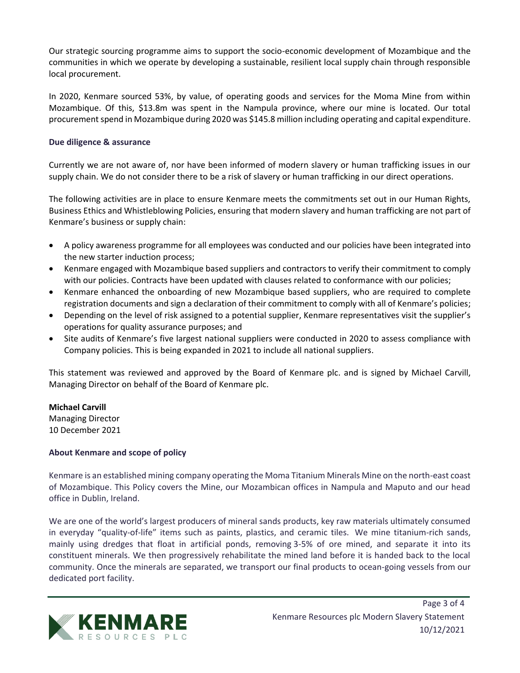Our strategic sourcing programme aims to support the socio-economic development of Mozambique and the communities in which we operate by developing a sustainable, resilient local supply chain through responsible local procurement.

In 2020, Kenmare sourced 53%, by value, of operating goods and services for the Moma Mine from within Mozambique. Of this, \$13.8m was spent in the Nampula province, where our mine is located. Our total procurement spend in Mozambique during 2020 was \$145.8 million including operating and capital expenditure.

# **Due diligence & assurance**

Currently we are not aware of, nor have been informed of modern slavery or human trafficking issues in our supply chain. We do not consider there to be a risk of slavery or human trafficking in our direct operations.

The following activities are in place to ensure Kenmare meets the commitments set out in our Human Rights, Business Ethics and Whistleblowing Policies, ensuring that modern slavery and human trafficking are not part of Kenmare's business or supply chain:

- A policy awareness programme for all employees was conducted and our policies have been integrated into the new starter induction process;
- Kenmare engaged with Mozambique based suppliers and contractors to verify their commitment to comply with our policies. Contracts have been updated with clauses related to conformance with our policies;
- Kenmare enhanced the onboarding of new Mozambique based suppliers, who are required to complete registration documents and sign a declaration of their commitment to comply with all of Kenmare's policies;
- Depending on the level of risk assigned to a potential supplier, Kenmare representatives visit the supplier's operations for quality assurance purposes; and
- Site audits of Kenmare's five largest national suppliers were conducted in 2020 to assess compliance with Company policies. This is being expanded in 2021 to include all national suppliers.

This statement was reviewed and approved by the Board of Kenmare plc. and is signed by Michael Carvill, Managing Director on behalf of the Board of Kenmare plc.

**Michael Carvill** Managing Director 10 December 2021

# **About Kenmare and scope of policy**

Kenmare is an established mining company operating the Moma Titanium Minerals Mine on the north-east coast of Mozambique. This Policy covers the Mine, our Mozambican offices in Nampula and Maputo and our head office in Dublin, Ireland.

We are one of the world's largest producers of mineral sands products, key raw materials ultimately consumed in everyday "quality-of-life" items such as paints, plastics, and ceramic tiles. We mine titanium-rich sands, mainly using dredges that float in artificial ponds, removing 3-5% of ore mined, and separate it into its constituent minerals. We then progressively rehabilitate the mined land before it is handed back to the local community. Once the minerals are separated, we transport our final products to ocean-going vessels from our dedicated port facility.